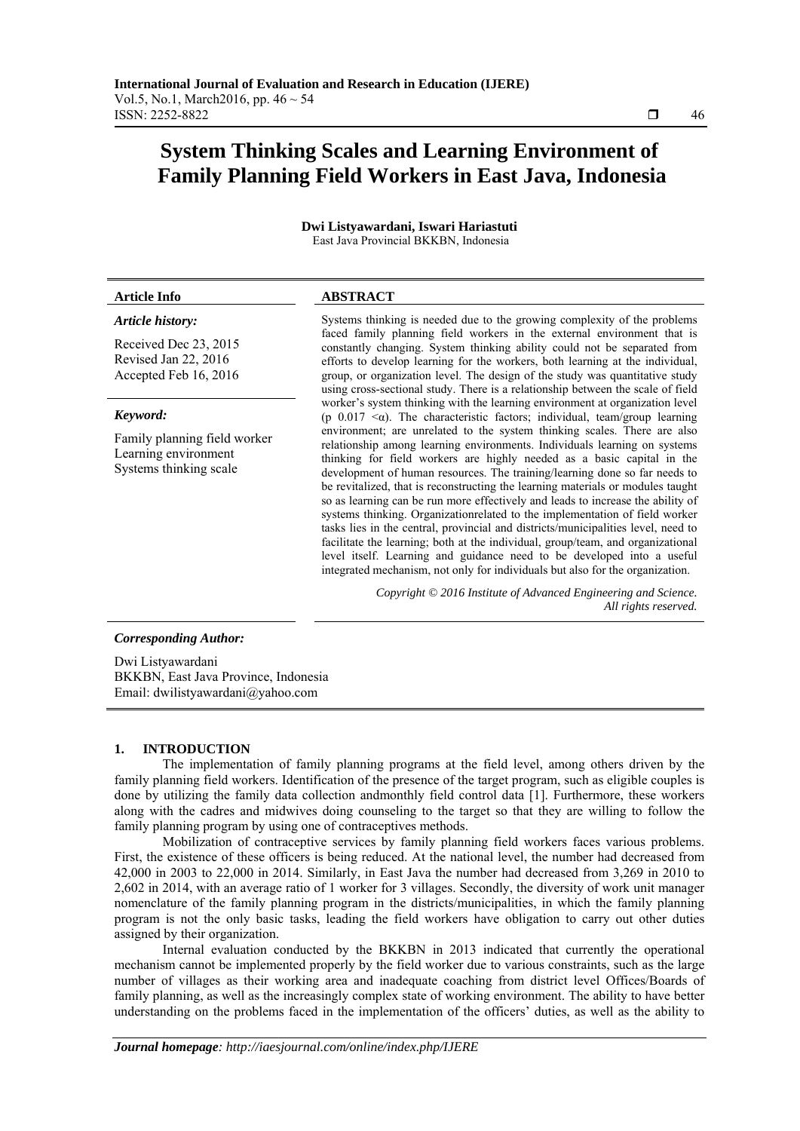# **System Thinking Scales and Learning Environment of Family Planning Field Workers in East Java, Indonesia**

**Dwi Listyawardani, Iswari Hariastuti**  East Java Provincial BKKBN, Indonesia

# *Article history:*

Received Dec 23, 2015 Revised Jan 22, 2016 Accepted Feb 16, 2016

# *Keyword:*

Family planning field worker Learning environment Systems thinking scale

# **Article Info ABSTRACT**

Systems thinking is needed due to the growing complexity of the problems faced family planning field workers in the external environment that is constantly changing. System thinking ability could not be separated from efforts to develop learning for the workers, both learning at the individual, group, or organization level. The design of the study was quantitative study using cross-sectional study. There is a relationship between the scale of field worker's system thinking with the learning environment at organization level (p  $0.017 < \alpha$ ). The characteristic factors; individual, team/group learning environment; are unrelated to the system thinking scales. There are also relationship among learning environments. Individuals learning on systems thinking for field workers are highly needed as a basic capital in the development of human resources. The training/learning done so far needs to be revitalized, that is reconstructing the learning materials or modules taught so as learning can be run more effectively and leads to increase the ability of systems thinking. Organizationrelated to the implementation of field worker tasks lies in the central, provincial and districts/municipalities level, need to facilitate the learning; both at the individual, group/team, and organizational level itself. Learning and guidance need to be developed into a useful integrated mechanism, not only for individuals but also for the organization.

> *Copyright © 2016 Institute of Advanced Engineering and Science. All rights reserved.*

# *Corresponding Author:*

Dwi Listyawardani BKKBN, East Java Province, Indonesia Email: dwilistyawardani@yahoo.com

# **1. INTRODUCTION**

The implementation of family planning programs at the field level, among others driven by the family planning field workers. Identification of the presence of the target program, such as eligible couples is done by utilizing the family data collection andmonthly field control data [1]. Furthermore, these workers along with the cadres and midwives doing counseling to the target so that they are willing to follow the family planning program by using one of contraceptives methods.

Mobilization of contraceptive services by family planning field workers faces various problems. First, the existence of these officers is being reduced. At the national level, the number had decreased from 42,000 in 2003 to 22,000 in 2014. Similarly, in East Java the number had decreased from 3,269 in 2010 to 2,602 in 2014, with an average ratio of 1 worker for 3 villages. Secondly, the diversity of work unit manager nomenclature of the family planning program in the districts/municipalities, in which the family planning program is not the only basic tasks, leading the field workers have obligation to carry out other duties assigned by their organization.

Internal evaluation conducted by the BKKBN in 2013 indicated that currently the operational mechanism cannot be implemented properly by the field worker due to various constraints, such as the large number of villages as their working area and inadequate coaching from district level Offices/Boards of family planning, as well as the increasingly complex state of working environment. The ability to have better understanding on the problems faced in the implementation of the officers' duties, as well as the ability to

ֺֺ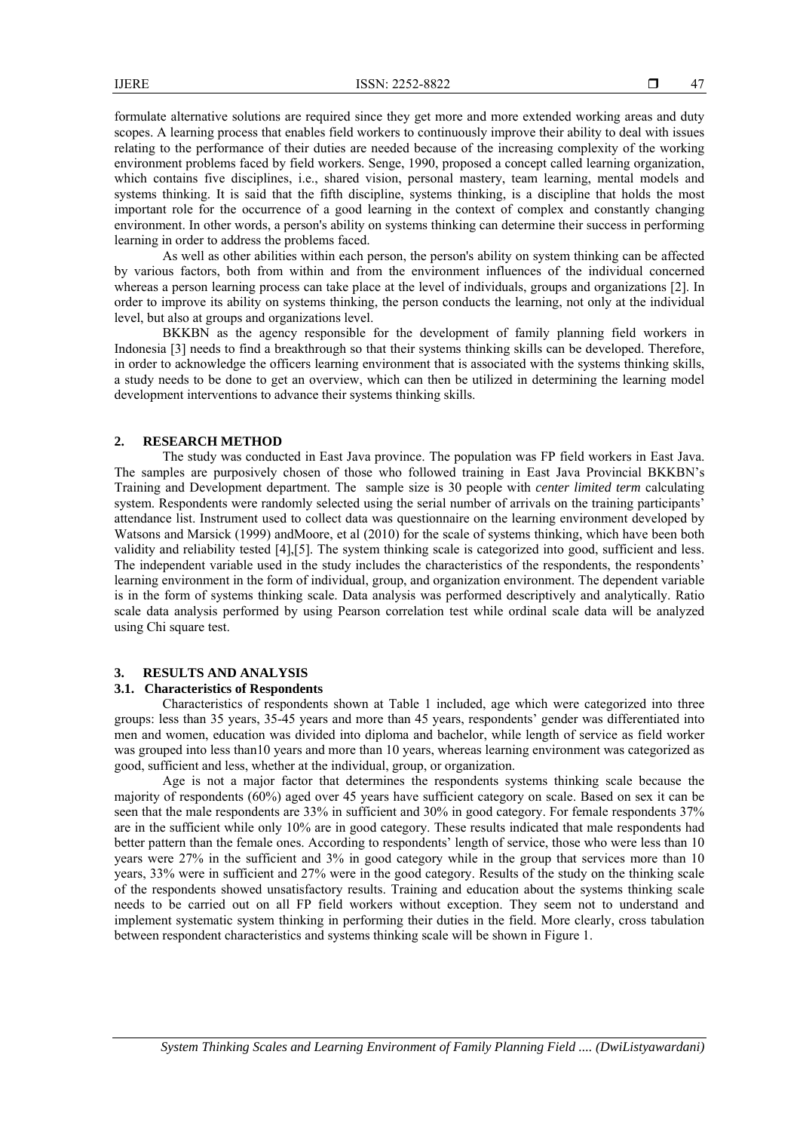formulate alternative solutions are required since they get more and more extended working areas and duty scopes. A learning process that enables field workers to continuously improve their ability to deal with issues relating to the performance of their duties are needed because of the increasing complexity of the working environment problems faced by field workers. Senge, 1990, proposed a concept called learning organization, which contains five disciplines, i.e., shared vision, personal mastery, team learning, mental models and systems thinking. It is said that the fifth discipline, systems thinking, is a discipline that holds the most important role for the occurrence of a good learning in the context of complex and constantly changing environment. In other words, a person's ability on systems thinking can determine their success in performing learning in order to address the problems faced.

As well as other abilities within each person, the person's ability on system thinking can be affected by various factors, both from within and from the environment influences of the individual concerned whereas a person learning process can take place at the level of individuals, groups and organizations [2]. In order to improve its ability on systems thinking, the person conducts the learning, not only at the individual level, but also at groups and organizations level.

BKKBN as the agency responsible for the development of family planning field workers in Indonesia [3] needs to find a breakthrough so that their systems thinking skills can be developed. Therefore, in order to acknowledge the officers learning environment that is associated with the systems thinking skills, a study needs to be done to get an overview, which can then be utilized in determining the learning model development interventions to advance their systems thinking skills.

### **2. RESEARCH METHOD**

The study was conducted in East Java province. The population was FP field workers in East Java. The samples are purposively chosen of those who followed training in East Java Provincial BKKBN's Training and Development department. The sample size is 30 people with *center limited term* calculating system. Respondents were randomly selected using the serial number of arrivals on the training participants' attendance list. Instrument used to collect data was questionnaire on the learning environment developed by Watsons and Marsick (1999) andMoore, et al (2010) for the scale of systems thinking, which have been both validity and reliability tested [4],[5]. The system thinking scale is categorized into good, sufficient and less. The independent variable used in the study includes the characteristics of the respondents, the respondents' learning environment in the form of individual, group, and organization environment. The dependent variable is in the form of systems thinking scale. Data analysis was performed descriptively and analytically. Ratio scale data analysis performed by using Pearson correlation test while ordinal scale data will be analyzed using Chi square test.

# **3. RESULTS AND ANALYSIS**

# **3.1. Characteristics of Respondents**

Characteristics of respondents shown at Table 1 included, age which were categorized into three groups: less than 35 years, 35-45 years and more than 45 years, respondents' gender was differentiated into men and women, education was divided into diploma and bachelor, while length of service as field worker was grouped into less than10 years and more than 10 years, whereas learning environment was categorized as good, sufficient and less, whether at the individual, group, or organization.

Age is not a major factor that determines the respondents systems thinking scale because the majority of respondents (60%) aged over 45 years have sufficient category on scale. Based on sex it can be seen that the male respondents are 33% in sufficient and 30% in good category. For female respondents 37% are in the sufficient while only 10% are in good category. These results indicated that male respondents had better pattern than the female ones. According to respondents' length of service, those who were less than 10 years were 27% in the sufficient and 3% in good category while in the group that services more than 10 years, 33% were in sufficient and 27% were in the good category. Results of the study on the thinking scale of the respondents showed unsatisfactory results. Training and education about the systems thinking scale needs to be carried out on all FP field workers without exception. They seem not to understand and implement systematic system thinking in performing their duties in the field. More clearly, cross tabulation between respondent characteristics and systems thinking scale will be shown in Figure 1.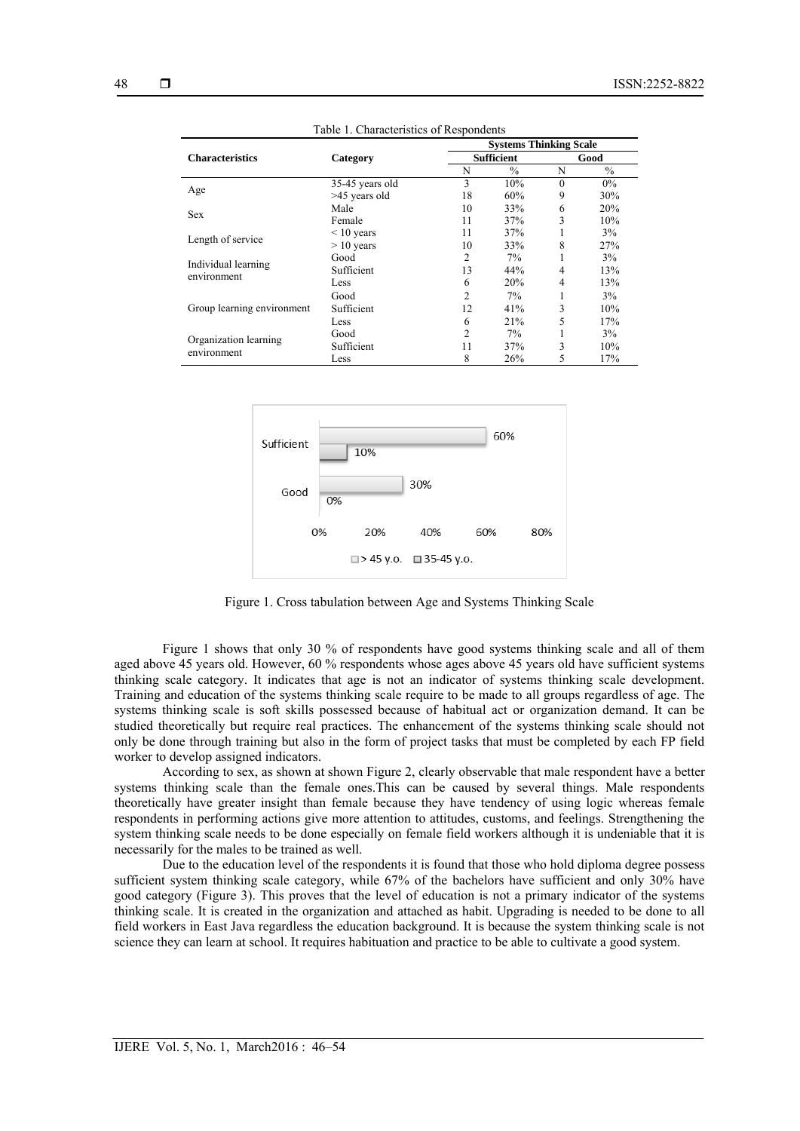| 48 |  |
|----|--|
|    |  |

|                                      |                 |                | <b>Systems Thinking Scale</b> |                |               |  |
|--------------------------------------|-----------------|----------------|-------------------------------|----------------|---------------|--|
| <b>Characteristics</b>               | Category        |                | <b>Sufficient</b>             |                | Good          |  |
|                                      |                 | N              | $\%$                          | N              | $\frac{0}{0}$ |  |
|                                      | 35-45 years old | 3              | 10%                           | $\theta$       | $0\%$         |  |
| Age                                  | >45 years old   | 18             | 60%                           | 9              | 30%           |  |
|                                      | Male            | 10             | 33%                           | 6              | 20%           |  |
| Sex                                  | Female          | 11             | 37%                           | 3              | 10%           |  |
|                                      | $\leq 10$ years | 11             | 37%                           |                | 3%            |  |
| Length of service                    | $> 10$ years    | 10             | 33%                           | 8              | 27%           |  |
|                                      | Good            | 2              | 7%                            |                | 3%            |  |
| Individual learning                  | Sufficient      | 13             | 44%                           | 4              | 13%           |  |
| environment                          | Less            | 6              | 20%                           | $\overline{4}$ | 13%           |  |
| Group learning environment           | Good            | $\mathfrak{D}$ | 7%                            |                | 3%            |  |
|                                      | Sufficient      | 12             | 41%                           | 3              | 10%           |  |
|                                      | Less            | 6              | 21%                           | 5              | 17%           |  |
| Organization learning<br>environment | Good            | $\overline{c}$ | 7%                            |                | 3%            |  |
|                                      | Sufficient      | 11             | 37%                           | 3              | 10%           |  |
|                                      | Less            | 8              | 26%                           | 5              | 17%           |  |

Table 1. Characteristics of Respondents



Figure 1. Cross tabulation between Age and Systems Thinking Scale

Figure 1 shows that only 30 % of respondents have good systems thinking scale and all of them aged above 45 years old. However, 60 % respondents whose ages above 45 years old have sufficient systems thinking scale category. It indicates that age is not an indicator of systems thinking scale development. Training and education of the systems thinking scale require to be made to all groups regardless of age. The systems thinking scale is soft skills possessed because of habitual act or organization demand. It can be studied theoretically but require real practices. The enhancement of the systems thinking scale should not only be done through training but also in the form of project tasks that must be completed by each FP field worker to develop assigned indicators.

According to sex, as shown at shown Figure 2, clearly observable that male respondent have a better systems thinking scale than the female ones.This can be caused by several things. Male respondents theoretically have greater insight than female because they have tendency of using logic whereas female respondents in performing actions give more attention to attitudes, customs, and feelings. Strengthening the system thinking scale needs to be done especially on female field workers although it is undeniable that it is necessarily for the males to be trained as well.

Due to the education level of the respondents it is found that those who hold diploma degree possess sufficient system thinking scale category, while 67% of the bachelors have sufficient and only 30% have good category (Figure 3). This proves that the level of education is not a primary indicator of the systems thinking scale. It is created in the organization and attached as habit. Upgrading is needed to be done to all field workers in East Java regardless the education background. It is because the system thinking scale is not science they can learn at school. It requires habituation and practice to be able to cultivate a good system.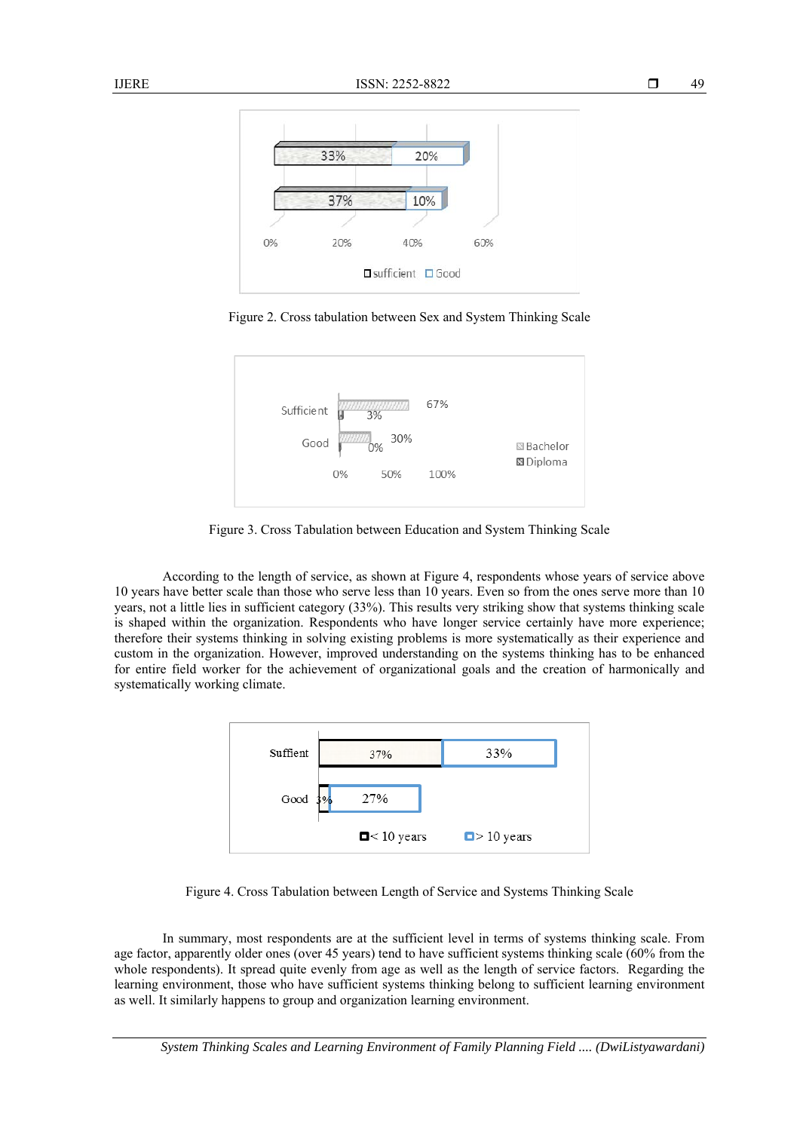

Figure 2. Cross tabulation between Sex and System Thinking Scale



Figure 3. Cross Tabulation between Education and System Thinking Scale

According to the length of service, as shown at Figure 4, respondents whose years of service above 10 years have better scale than those who serve less than 10 years. Even so from the ones serve more than 10 years, not a little lies in sufficient category (33%). This results very striking show that systems thinking scale is shaped within the organization. Respondents who have longer service certainly have more experience; therefore their systems thinking in solving existing problems is more systematically as their experience and custom in the organization. However, improved understanding on the systems thinking has to be enhanced for entire field worker for the achievement of organizational goals and the creation of harmonically and systematically working climate.



Figure 4. Cross Tabulation between Length of Service and Systems Thinking Scale

In summary, most respondents are at the sufficient level in terms of systems thinking scale. From age factor, apparently older ones (over 45 years) tend to have sufficient systems thinking scale (60% from the whole respondents). It spread quite evenly from age as well as the length of service factors. Regarding the learning environment, those who have sufficient systems thinking belong to sufficient learning environment as well. It similarly happens to group and organization learning environment.

*System Thinking Scales and Learning Environment of Family Planning Field .... (DwiListyawardani)* 

49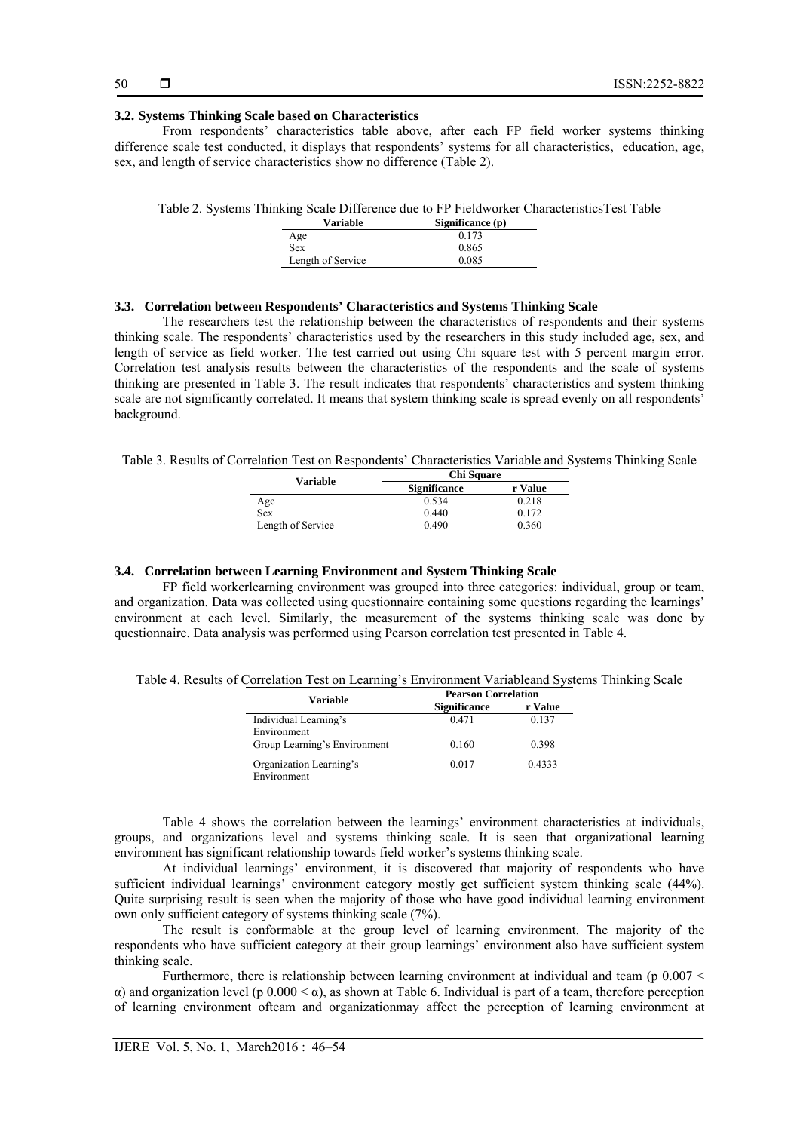### **3.2. Systems Thinking Scale based on Characteristics**

From respondents' characteristics table above, after each FP field worker systems thinking difference scale test conducted, it displays that respondents' systems for all characteristics, education, age, sex, and length of service characteristics show no difference (Table 2).

|  |  | Table 2. Systems Thinking Scale Difference due to FP Fieldworker Characteristics Test Table |  |
|--|--|---------------------------------------------------------------------------------------------|--|
|  |  |                                                                                             |  |

| Variable          | Significance $(p)$ |
|-------------------|--------------------|
| Age               | 0.173              |
| <b>Sex</b>        | 0.865              |
| Length of Service | 0.085              |

# **3.3. Correlation between Respondents' Characteristics and Systems Thinking Scale**

The researchers test the relationship between the characteristics of respondents and their systems thinking scale. The respondents' characteristics used by the researchers in this study included age, sex, and length of service as field worker. The test carried out using Chi square test with 5 percent margin error. Correlation test analysis results between the characteristics of the respondents and the scale of systems thinking are presented in Table 3. The result indicates that respondents' characteristics and system thinking scale are not significantly correlated. It means that system thinking scale is spread evenly on all respondents' background.

Table 3. Results of Correlation Test on Respondents' Characteristics Variable and Systems Thinking Scale

| Variable          | <b>Chi Square</b>   |         |  |  |
|-------------------|---------------------|---------|--|--|
|                   | <b>Significance</b> | r Value |  |  |
| Age               | 0.534               | 0.218   |  |  |
| Sex               | 0.440               | 0.172   |  |  |
| Length of Service | 0.490               | 0.360   |  |  |

# **3.4. Correlation between Learning Environment and System Thinking Scale**

FP field workerlearning environment was grouped into three categories: individual, group or team, and organization. Data was collected using questionnaire containing some questions regarding the learnings' environment at each level. Similarly, the measurement of the systems thinking scale was done by questionnaire. Data analysis was performed using Pearson correlation test presented in Table 4.

Table 4. Results of Correlation Test on Learning's Environment Variableand Systems Thinking Scale

| Variable                     | <b>Pearson Correlation</b> |         |  |
|------------------------------|----------------------------|---------|--|
|                              | <b>Significance</b>        | r Value |  |
| Individual Learning's        | 0.471                      | 0.137   |  |
| Environment                  |                            |         |  |
| Group Learning's Environment | 0.160                      | 0.398   |  |
| Organization Learning's      | 0.017                      | 0.4333  |  |
| Environment                  |                            |         |  |

Table 4 shows the correlation between the learnings' environment characteristics at individuals, groups, and organizations level and systems thinking scale. It is seen that organizational learning environment has significant relationship towards field worker's systems thinking scale.

At individual learnings' environment, it is discovered that majority of respondents who have sufficient individual learnings' environment category mostly get sufficient system thinking scale (44%). Quite surprising result is seen when the majority of those who have good individual learning environment own only sufficient category of systems thinking scale (7%).

The result is conformable at the group level of learning environment. The majority of the respondents who have sufficient category at their group learnings' environment also have sufficient system thinking scale.

Furthermore, there is relationship between learning environment at individual and team (p  $0.007 <$ α) and organization level (p 0.000 < α), as shown at Table 6. Individual is part of a team, therefore perception of learning environment ofteam and organizationmay affect the perception of learning environment at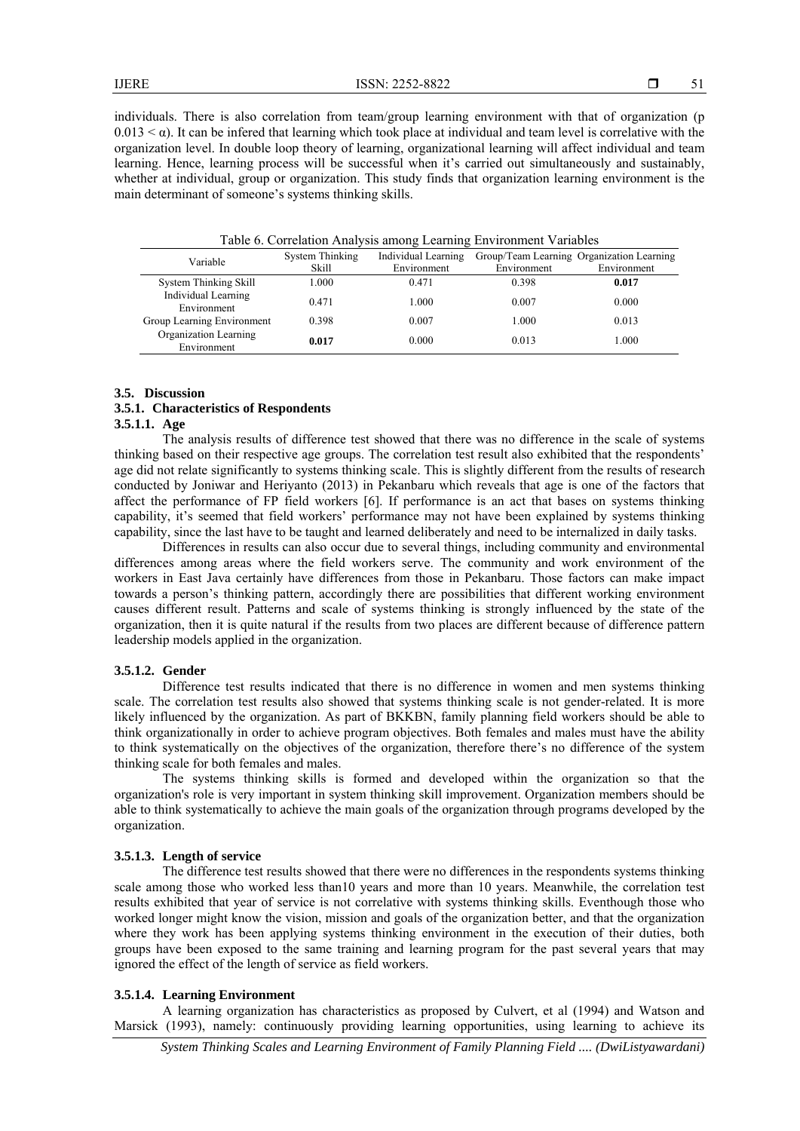individuals. There is also correlation from team/group learning environment with that of organization (p  $0.013 < \alpha$ ). It can be infered that learning which took place at individual and team level is correlative with the organization level. In double loop theory of learning, organizational learning will affect individual and team learning. Hence, learning process will be successful when it's carried out simultaneously and sustainably, whether at individual, group or organization. This study finds that organization learning environment is the main determinant of someone's systems thinking skills.

| Variable                             | <b>System Thinking</b> | Individual Learning |             | Group/Team Learning Organization Learning |
|--------------------------------------|------------------------|---------------------|-------------|-------------------------------------------|
|                                      | Skill                  | Environment         | Environment | Environment                               |
| System Thinking Skill                | 1.000                  | 0.471               | 0.398       | 0.017                                     |
| Individual Learning<br>Environment   | 0.471                  | 1.000               | 0.007       | 0.000                                     |
| Group Learning Environment           | 0.398                  | 0.007               | 1.000       | 0.013                                     |
| Organization Learning<br>Environment | 0.017                  | 0.000               | 0.013       | 1.000                                     |

Table 6. Correlation Analysis among Learning Environment Variables

#### **3.5. Discussion**

# **3.5.1. Characteristics of Respondents**

# **3.5.1.1. Age**

The analysis results of difference test showed that there was no difference in the scale of systems thinking based on their respective age groups. The correlation test result also exhibited that the respondents' age did not relate significantly to systems thinking scale. This is slightly different from the results of research conducted by Joniwar and Heriyanto (2013) in Pekanbaru which reveals that age is one of the factors that affect the performance of FP field workers [6]. If performance is an act that bases on systems thinking capability, it's seemed that field workers' performance may not have been explained by systems thinking capability, since the last have to be taught and learned deliberately and need to be internalized in daily tasks.

Differences in results can also occur due to several things, including community and environmental differences among areas where the field workers serve. The community and work environment of the workers in East Java certainly have differences from those in Pekanbaru. Those factors can make impact towards a person's thinking pattern, accordingly there are possibilities that different working environment causes different result. Patterns and scale of systems thinking is strongly influenced by the state of the organization, then it is quite natural if the results from two places are different because of difference pattern leadership models applied in the organization.

# **3.5.1.2. Gender**

Difference test results indicated that there is no difference in women and men systems thinking scale. The correlation test results also showed that systems thinking scale is not gender-related. It is more likely influenced by the organization. As part of BKKBN, family planning field workers should be able to think organizationally in order to achieve program objectives. Both females and males must have the ability to think systematically on the objectives of the organization, therefore there's no difference of the system thinking scale for both females and males.

The systems thinking skills is formed and developed within the organization so that the organization's role is very important in system thinking skill improvement. Organization members should be able to think systematically to achieve the main goals of the organization through programs developed by the organization.

#### **3.5.1.3. Length of service**

The difference test results showed that there were no differences in the respondents systems thinking scale among those who worked less than10 years and more than 10 years. Meanwhile, the correlation test results exhibited that year of service is not correlative with systems thinking skills. Eventhough those who worked longer might know the vision, mission and goals of the organization better, and that the organization where they work has been applying systems thinking environment in the execution of their duties, both groups have been exposed to the same training and learning program for the past several years that may ignored the effect of the length of service as field workers.

# **3.5.1.4. Learning Environment**

A learning organization has characteristics as proposed by Culvert, et al (1994) and Watson and Marsick (1993), namely: continuously providing learning opportunities, using learning to achieve its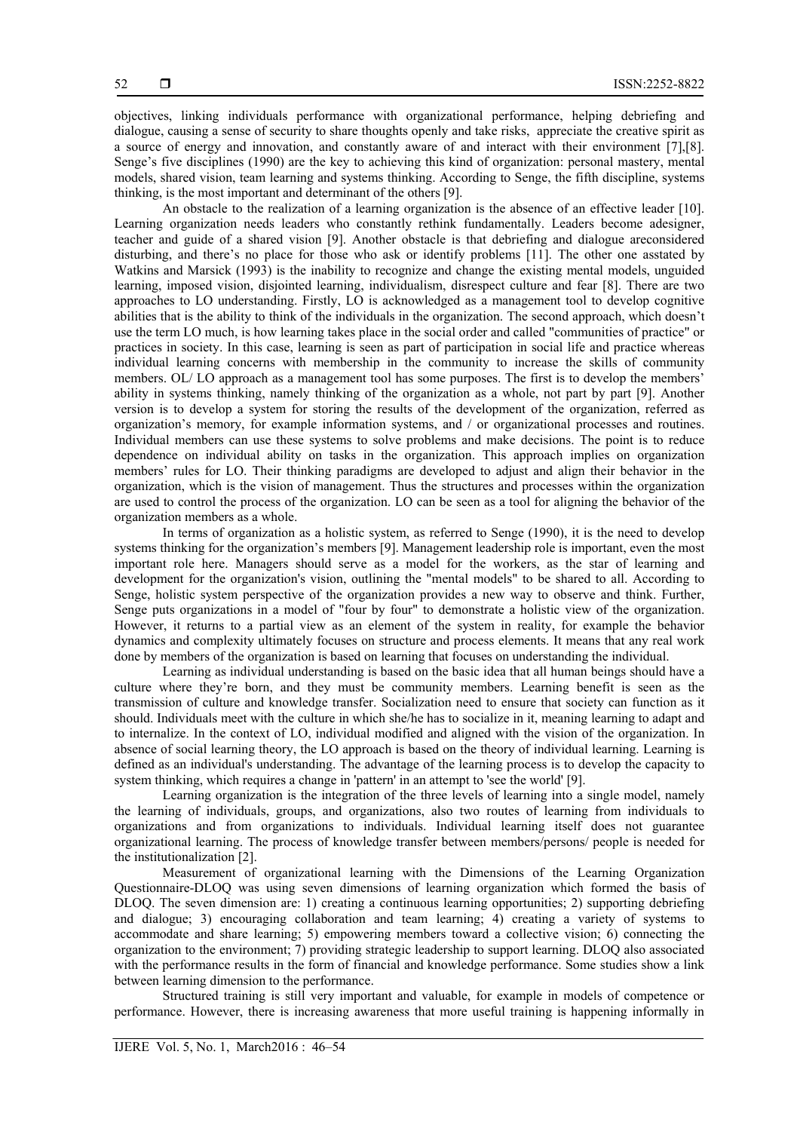objectives, linking individuals performance with organizational performance, helping debriefing and dialogue, causing a sense of security to share thoughts openly and take risks, appreciate the creative spirit as a source of energy and innovation, and constantly aware of and interact with their environment [7],[8]. Senge's five disciplines (1990) are the key to achieving this kind of organization: personal mastery, mental models, shared vision, team learning and systems thinking. According to Senge, the fifth discipline, systems thinking, is the most important and determinant of the others [9].

An obstacle to the realization of a learning organization is the absence of an effective leader [10]. Learning organization needs leaders who constantly rethink fundamentally. Leaders become adesigner, teacher and guide of a shared vision [9]. Another obstacle is that debriefing and dialogue areconsidered disturbing, and there's no place for those who ask or identify problems [11]. The other one asstated by Watkins and Marsick (1993) is the inability to recognize and change the existing mental models, unguided learning, imposed vision, disjointed learning, individualism, disrespect culture and fear [8]. There are two approaches to LO understanding. Firstly, LO is acknowledged as a management tool to develop cognitive abilities that is the ability to think of the individuals in the organization. The second approach, which doesn't use the term LO much, is how learning takes place in the social order and called "communities of practice" or practices in society. In this case, learning is seen as part of participation in social life and practice whereas individual learning concerns with membership in the community to increase the skills of community members. OL/ LO approach as a management tool has some purposes. The first is to develop the members' ability in systems thinking, namely thinking of the organization as a whole, not part by part [9]. Another version is to develop a system for storing the results of the development of the organization, referred as organization's memory, for example information systems, and / or organizational processes and routines. Individual members can use these systems to solve problems and make decisions. The point is to reduce dependence on individual ability on tasks in the organization. This approach implies on organization members' rules for LO. Their thinking paradigms are developed to adjust and align their behavior in the organization, which is the vision of management. Thus the structures and processes within the organization are used to control the process of the organization. LO can be seen as a tool for aligning the behavior of the organization members as a whole.

In terms of organization as a holistic system, as referred to Senge (1990), it is the need to develop systems thinking for the organization's members [9]. Management leadership role is important, even the most important role here. Managers should serve as a model for the workers, as the star of learning and development for the organization's vision, outlining the "mental models" to be shared to all. According to Senge, holistic system perspective of the organization provides a new way to observe and think. Further, Senge puts organizations in a model of "four by four" to demonstrate a holistic view of the organization. However, it returns to a partial view as an element of the system in reality, for example the behavior dynamics and complexity ultimately focuses on structure and process elements. It means that any real work done by members of the organization is based on learning that focuses on understanding the individual.

Learning as individual understanding is based on the basic idea that all human beings should have a culture where they're born, and they must be community members. Learning benefit is seen as the transmission of culture and knowledge transfer. Socialization need to ensure that society can function as it should. Individuals meet with the culture in which she/he has to socialize in it, meaning learning to adapt and to internalize. In the context of LO, individual modified and aligned with the vision of the organization. In absence of social learning theory, the LO approach is based on the theory of individual learning. Learning is defined as an individual's understanding. The advantage of the learning process is to develop the capacity to system thinking, which requires a change in 'pattern' in an attempt to 'see the world' [9].

Learning organization is the integration of the three levels of learning into a single model, namely the learning of individuals, groups, and organizations, also two routes of learning from individuals to organizations and from organizations to individuals. Individual learning itself does not guarantee organizational learning. The process of knowledge transfer between members/persons/ people is needed for the institutionalization [2].

Measurement of organizational learning with the Dimensions of the Learning Organization Questionnaire-DLOQ was using seven dimensions of learning organization which formed the basis of DLOQ. The seven dimension are: 1) creating a continuous learning opportunities; 2) supporting debriefing and dialogue; 3) encouraging collaboration and team learning; 4) creating a variety of systems to accommodate and share learning; 5) empowering members toward a collective vision; 6) connecting the organization to the environment; 7) providing strategic leadership to support learning. DLOQ also associated with the performance results in the form of financial and knowledge performance. Some studies show a link between learning dimension to the performance.

Structured training is still very important and valuable, for example in models of competence or performance. However, there is increasing awareness that more useful training is happening informally in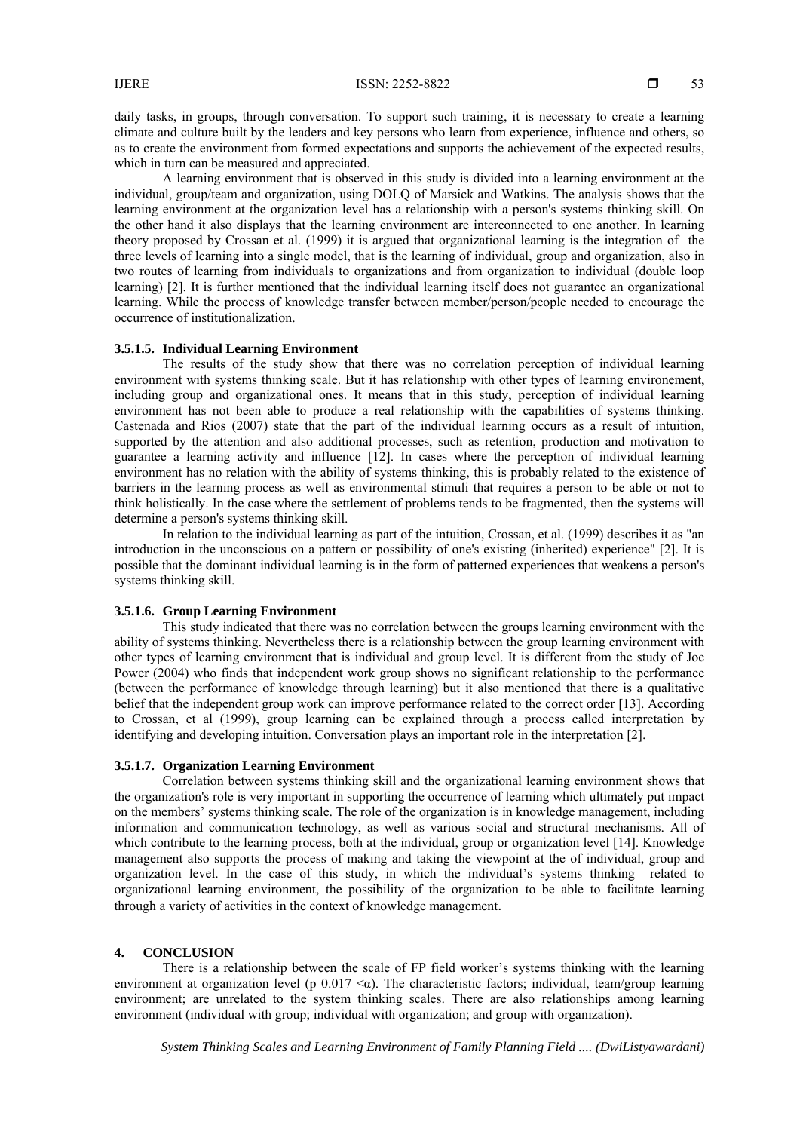daily tasks, in groups, through conversation. To support such training, it is necessary to create a learning climate and culture built by the leaders and key persons who learn from experience, influence and others, so as to create the environment from formed expectations and supports the achievement of the expected results, which in turn can be measured and appreciated.

A learning environment that is observed in this study is divided into a learning environment at the individual, group/team and organization, using DOLQ of Marsick and Watkins. The analysis shows that the learning environment at the organization level has a relationship with a person's systems thinking skill. On the other hand it also displays that the learning environment are interconnected to one another. In learning theory proposed by Crossan et al. (1999) it is argued that organizational learning is the integration of the three levels of learning into a single model, that is the learning of individual, group and organization, also in two routes of learning from individuals to organizations and from organization to individual (double loop learning) [2]. It is further mentioned that the individual learning itself does not guarantee an organizational learning. While the process of knowledge transfer between member/person/people needed to encourage the occurrence of institutionalization.

# **3.5.1.5. Individual Learning Environment**

The results of the study show that there was no correlation perception of individual learning environment with systems thinking scale. But it has relationship with other types of learning environement, including group and organizational ones. It means that in this study, perception of individual learning environment has not been able to produce a real relationship with the capabilities of systems thinking. Castenada and Rios (2007) state that the part of the individual learning occurs as a result of intuition, supported by the attention and also additional processes, such as retention, production and motivation to guarantee a learning activity and influence [12]. In cases where the perception of individual learning environment has no relation with the ability of systems thinking, this is probably related to the existence of barriers in the learning process as well as environmental stimuli that requires a person to be able or not to think holistically. In the case where the settlement of problems tends to be fragmented, then the systems will determine a person's systems thinking skill.

In relation to the individual learning as part of the intuition, Crossan, et al. (1999) describes it as "an introduction in the unconscious on a pattern or possibility of one's existing (inherited) experience" [2]. It is possible that the dominant individual learning is in the form of patterned experiences that weakens a person's systems thinking skill.

# **3.5.1.6. Group Learning Environment**

This study indicated that there was no correlation between the groups learning environment with the ability of systems thinking. Nevertheless there is a relationship between the group learning environment with other types of learning environment that is individual and group level. It is different from the study of Joe Power (2004) who finds that independent work group shows no significant relationship to the performance (between the performance of knowledge through learning) but it also mentioned that there is a qualitative belief that the independent group work can improve performance related to the correct order [13]. According to Crossan, et al (1999), group learning can be explained through a process called interpretation by identifying and developing intuition. Conversation plays an important role in the interpretation [2].

# **3.5.1.7. Organization Learning Environment**

Correlation between systems thinking skill and the organizational learning environment shows that the organization's role is very important in supporting the occurrence of learning which ultimately put impact on the members' systems thinking scale. The role of the organization is in knowledge management, including information and communication technology, as well as various social and structural mechanisms. All of which contribute to the learning process, both at the individual, group or organization level [14]. Knowledge management also supports the process of making and taking the viewpoint at the of individual, group and organization level. In the case of this study, in which the individual's systems thinking related to organizational learning environment, the possibility of the organization to be able to facilitate learning through a variety of activities in the context of knowledge management.

# **4. CONCLUSION**

There is a relationship between the scale of FP field worker's systems thinking with the learning environment at organization level (p  $0.017 < \alpha$ ). The characteristic factors; individual, team/group learning environment; are unrelated to the system thinking scales. There are also relationships among learning environment (individual with group; individual with organization; and group with organization).